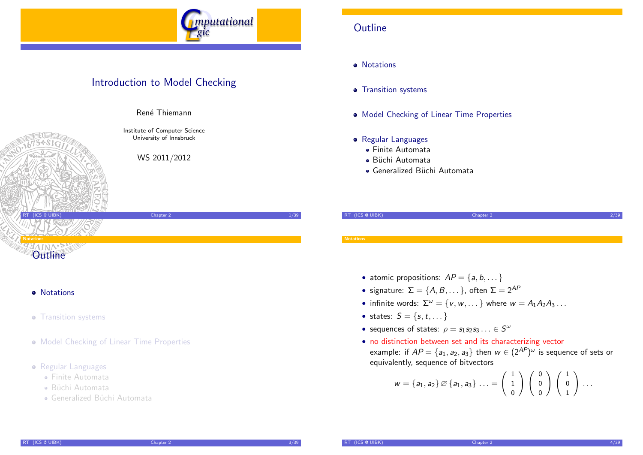

## Introduction to Model Checking



Ren´e Thiemann

Institute of Computer Science University of Innsbruck

WS 2011/2012

## **Outline**

**o** Notations

- **•** Transition systems
- Model Checking of Linear Time Properties
- **•** Regular Languages
	- Finite Automata
	- Büchi Automata
	- Generalized Büchi Automata

| RT (ICS @ UIBK)  | Chapter 2 |  |
|------------------|-----------|--|
|                  |           |  |
|                  |           |  |
| <b>Notations</b> |           |  |

- atomic propositions:  $AP = \{a, b, \dots\}$
- signature:  $\Sigma = \{A, B, \dots\}$ , often  $\Sigma = 2^{AP}$
- infinite words:  $\Sigma^{\omega} = \{v, w, \dots\}$  where  $w = A_1 A_2 A_3 \dots$
- states:  $S = \{s, t, ...\}$
- sequences of states:  $\rho = s_1 s_2 s_3 \ldots \in S^{\omega}$
- no distinction between set and its characterizing vector example: if  $\mathit{AP} = \{a_1, a_2, a_3\}$  then  $w \in (2^\mathit{AP})^\omega$  is sequence of sets or equivalently, sequence of bitvectors

<span id="page-0-0"></span>
$$
w = \{a_1, a_2\} \oslash \{a_1, a_3\} \ldots = \left(\begin{array}{c} 1 \\ 1 \\ 0 \end{array}\right) \left(\begin{array}{c} 0 \\ 0 \\ 0 \end{array}\right) \left(\begin{array}{c} 1 \\ 0 \\ 1 \end{array}\right) \ldots
$$

#### **•** Notations

- **Transiti[on systems](http://cl-informatik.uibk.ac.at/teaching/ws10/imc)**
- Model Checking of Linear Time Properties
- **•** Regular Languag[es](http://informatik.uibk.ac.at/)
	- [Finite Aut](#page-4-0)omata
	- Büchi Automata
	- [Generalized](#page-5-0) Büchi Automata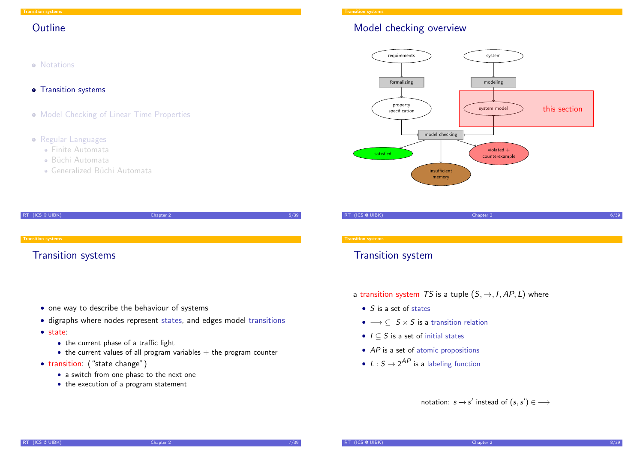#### **Outline**

- **•** Notations
- **•** Transition systems
- Model Checking of Linear Time Properties
- Regular Languages
	- Finite Automata
	- **B**iichi Automata
	- Generalized Büchi Automata

| RT (ICS @ UIBK)           | Chapter 2 | 5/39 |
|---------------------------|-----------|------|
|                           |           |      |
|                           |           |      |
| <b>Transition systems</b> |           |      |
| <b>Transition systems</b> |           |      |

- [on](#page-0-0)e way to describe the behaviour of systems
- digraphs where nodes represent states, and edges model transitions
- [state:](#page-1-0)
	- the current phase of a traffic light
	- $\bullet$  [the current values of all program](#page-3-0) variables  $+$  the program counter
- transition: ("state change")
	- [a switc](#page-4-0)h from one phase to the next one
	- [the exe](#page-5-0)cution of a program statement

## Model checking overview



RT (ICS @ UIBK) 6/39

## Transition system

- a transition system TS is a tuple  $(S, \rightarrow, I, AP, L)$  where
	- $S$  is a set of states
	- $\bullet \longrightarrow \subseteq S \times S$  is a transition relation
	- $I \subseteq S$  is a set of initial states
	- $AP$  is a set of atomic propositions
	- $L: S \rightarrow 2^{AP}$  is a labeling function

<span id="page-1-0"></span>notation:  $s \rightarrow s'$  instead of  $(s, s') \in \longrightarrow$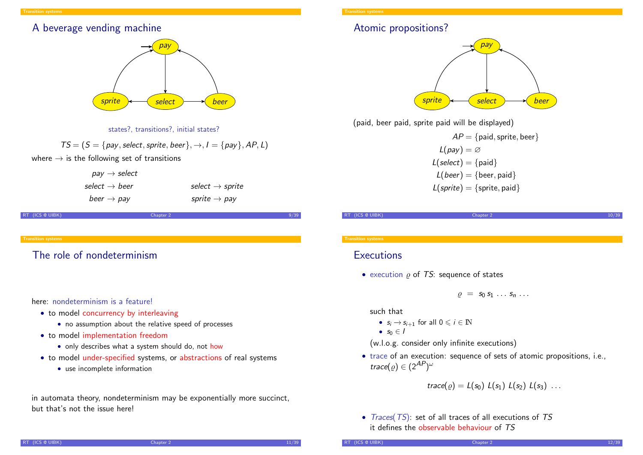#### A beverage vending machine



states?, transitions?, initial states?

 $TS = (S = \{pay, select, sprite, beer\}, \rightarrow, I = \{pay\}, AP, L)$ 

where  $\rightarrow$  is the following set of transitions

| $pay \rightarrow select$  |                             |
|---------------------------|-----------------------------|
| select $\rightarrow$ beer | select $\rightarrow$ sprite |
| beer $\rightarrow$ pay    | sprite $\rightarrow$ pay    |

RT (ICS @ UIBK) Chapter 2

[Th](#page-1-0)e role of nondeterminism

here: nondeterminism is a feature!

- to model concurrency by interleaving
	- no assumption about the relative speed of processes
- to model implementation freedom
	- only describes what a system should do, not how
- to model under-specified systems, or abstractions of real systems
	- use incomplete information

in automata theory, nondeterminism may be exponentially more succinct, but that's not the issue here!

### Atomic propositions?



(paid, beer paid, sprite paid will be displayed)

 $AP = \{$ paid, sprite, beer $\}$  $L(pav) = \varnothing$  $L(select) = \{ paid\}$  $L(beer) = \{beer, paid\}$  $L(sprite) = {sprite, paid}$ 

#### RT (ICS @ UIBK) Chapter 2 10/39

#### **Transition system**

#### **Executions**

• execution  $\rho$  of TS: sequence of states

 $\rho = S_0 S_1 \ldots S_n \ldots$ 

such that

- $s_i \rightarrow s_{i+1}$  for all  $0 \leq i \in \mathbb{N}$
- $s_0 \in I$

(w.l.o.g. consider only infinite executions)

• trace of an execution: sequence of sets of atomic propositions, i.e., trace(  $\varrho) \in (2^\textit{AP} )^\omega$ 

trace( $\rho$ ) =  $L(s_0) L(s_1) L(s_2) L(s_3) ...$ 

• Traces(TS): set of all traces of all executions of TS it defines the observable behaviour of TS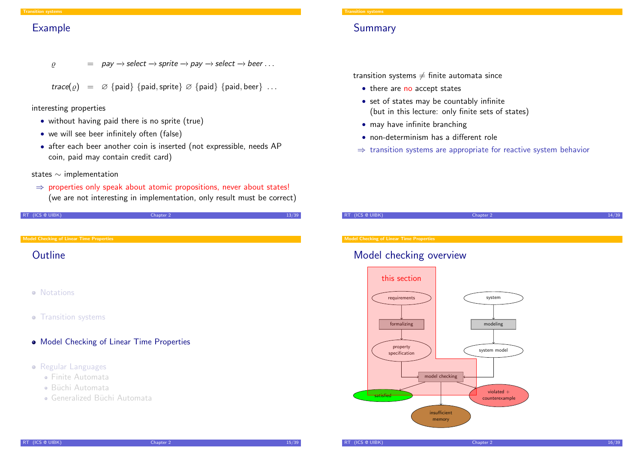#### Example

$$
\rho
$$
 = pay  $\rightarrow$  select  $\rightarrow$  sprite  $\rightarrow$  pay  $\rightarrow$  select  $\rightarrow$  beer ...

$$
\mathit{trace}(\varrho) \;\; = \;\; \varnothing \; \{\mathsf{paid}\} \; \{\mathsf{paid}, \mathsf{sprite}\} \; \varnothing \; \{\mathsf{paid}\} \; \{\mathsf{paid}, \mathsf{beer}\} \; \ldots
$$

interesting properties

- without having paid there is no sprite (true)
- we will see beer infinitely often (false)
- after each beer another coin is inserted (not expressible, needs AP coin, paid may contain credit card)

#### states ∼ implementation

 $\Rightarrow$  properties only speak about atomic propositions, never about states! (we are not interesting in implementation, only result must be correct)

| RT (ICS @ UIBK) | Chapter 2 |  |
|-----------------|-----------|--|
|                 |           |  |

Model Checking of Linear Time Properties

### **[O](#page-1-0)[utline](#page-3-0)**

- **•** Notations
- **•** Transition systems
- Model Checking of Linear Time Properties
- **•** Regular Languages
	- [Finite Aut](#page-4-0)omata
	- **B**iichi Automata
	- [Generalized](#page-5-0) Büchi Automata

### Summary

transition systems  $\neq$  finite automata since

- there are no accept states
- set of states may be countably infinite (but in this lecture: only finite sets of states)
- may have infinite branching
- non-determinism has a different role
- $\Rightarrow$  transition systems are appropriate for reactive system behavior

RT (ICS @ UIBK) Chapter 2 14/39

Model Checking of Linear Time Properties

## Model checking overview

<span id="page-3-0"></span>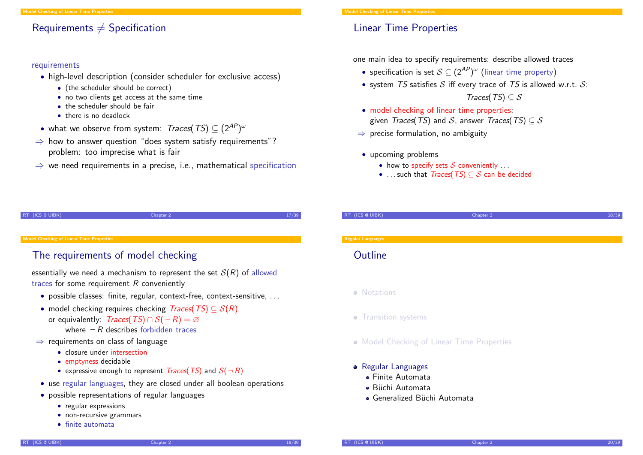#### Requirements  $\neq$  Specification

#### requirements

- high-level description (consider scheduler for exclusive access)
	- (the scheduler should be correct)
	- no two clients get access at the same time
	- the scheduler should be fair
	- there is no deadlock
- what we observe from system: Traces(TS) ⊆ (2AP) ω
- $\Rightarrow$  how to answer question "does system satisfy requirements"? problem: too imprecise what is fair
- $\Rightarrow$  we need requirements in a precise, i.e., mathematical specification

## Linear Time Properties

one main idea to specify requirements: describe allowed traces

- specification is set  $\mathcal{S} \subseteq (2^{AP})^\omega$  (linear time property)
- system TS satisfies  $S$  iff every trace of TS is allowed w.r.t.  $S$ :

RT (ICS @ UIBK) Chapter 2 18/39

Traces(TS)  $\subset$  S

- model checking of linear time properties: given *Traces*(*TS*) and *S*, answer *Traces*(*TS*)  $\subseteq$  *S*
- $\Rightarrow$  precise formulation, no ambiguity
- upcoming problems
	- how to specify sets  $S$  conveniently  $\dots$
	- ... such that  $Traces(TS) \subseteq S$  can be decided

RT (ICS @ UIBK) 27/39

#### lel Checking of Linear Time Propertie

### [The requirem](#page-3-0)ents of model checking

essentially we need a mechanism to represent the set  $S(R)$  of allowed traces for some requirement  $R$  conveniently

- [po](#page-0-0)ssible classes: finite, regular, context-free, context-sensitive, . . .
- model checking requires checking  $Trace(TS) \subseteq S(R)$ or equivalently:  $Trace(S) \cap S(\neg R) = \emptyset$ [where](#page-1-0)  $\neg R$  describes forbidden traces
- $\Rightarrow$  requirements on class of language
	- [closure under](#page-3-0) intersection
	- emptyness decidable
	- [express](#page-4-0)ive enough to represent  $Traces(TS)$  and  $S(\neg R)$
- use [regular](#page-5-0) languages, they are closed under all boolean operations
- [possible rep](#page-5-0)resentations of regular languages
	- [regular expressions](#page-6-0)
	- non-recursive grammars
	- finite automata

#### **Regular Languages**

#### **Outline**

- Notations
- **•** Transition systems
- **Model Checking of Linear Time Properties**
- <span id="page-4-0"></span>• Regular Languages
	- Finite Automata
	- **Büchi Automata**
	- Generalized Büchi Automata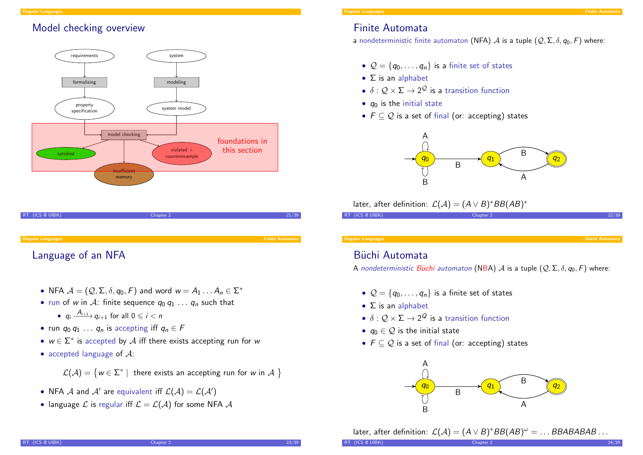## Model checking overview



# RT (ICS @ UIBK) 21/39 Regular Languages Finite Automata

## [La](#page-4-0)nguage of an NFA

- NFA  $\mathcal{A} = (\mathcal{Q}, \Sigma, \delta, q_0, F)$  and word  $w = A_1 \dots A_n \in \Sigma^*$
- run of w in A: finite sequence  $q_0 q_1 \ldots q_n$  such that
	- $q_i \xrightarrow{A_{i+1}} q_{i+1}$  for all  $0 \leq i < n$
- run  $q_0 q_1 \ldots q_n$  is accepting iff  $q_n \in F$
- $w \in \Sigma^*$  is accepted by  $\mathcal A$  iff there exists accepting run for w
- accepted language of  $A$ :

 $\mathcal{L}(\mathcal{A}) = \{ w \in \Sigma^* \mid \text{ there exists an accepting run for } w \text{ in } \mathcal{A} \ \}$ 

- NFA  $\mathcal A$  and  $\mathcal A'$  are equivalent iff  $\mathcal L(\mathcal A)=\mathcal L(\mathcal A')$
- language  $\mathcal L$  is regular iff  $\mathcal L = \mathcal L(\mathcal A)$  for some NFA  $\mathcal A$

## Finite Automata

a nondeterministic finite automaton (NFA)  $\mathcal A$  is a tuple  $(\mathcal Q, \Sigma, \delta, q_0, F)$  where:

- $Q = \{q_0, \ldots, q_n\}$  is a finite set of states
- $\bullet$   $\Sigma$  is an alphabet
- $\bullet\,\,\delta:\mathcal{Q}\times\Sigma\rightarrow2^{\mathcal{Q}}$  is a transition function
- $q_0$  is the initial state
- $F \subseteq Q$  is a set of final (or: accepting) states



later, after definition:  $\mathcal{L}(\mathcal{A}) = (A \lor B)^* BB(AB)^*$ 

| RT (ICS @ UIBK) |  | Chapter 2 |  |  | 22/39 |
|-----------------|--|-----------|--|--|-------|
|                 |  |           |  |  |       |

#### Regular Language

## Büchi Automata

A nondeterministic Büchi automaton (NBA) A is a tuple  $(Q, \Sigma, \delta, q_0, F)$  where:

- $Q = \{q_0, \ldots, q_n\}$  is a finite set of states
- $\bullet$   $\Sigma$  is an alphabet
- $\bullet\,\,\delta:\mathcal{Q}\times\Sigma\rightarrow2^\mathcal{Q}$  is a transition function
- $q_0 \in \mathcal{Q}$  is the initial state
- $F \subseteq Q$  is a set of final (or: accepting) states



later, after definition:  $\mathcal{L}(\mathcal{A}) = (A \lor B)^* BB(AB)^\omega = \dots BBABABAB\dots$ 

<span id="page-5-0"></span>

RT (ICS @ UIBK) 24/39 Chapter 2 25 Chapter 2 24/39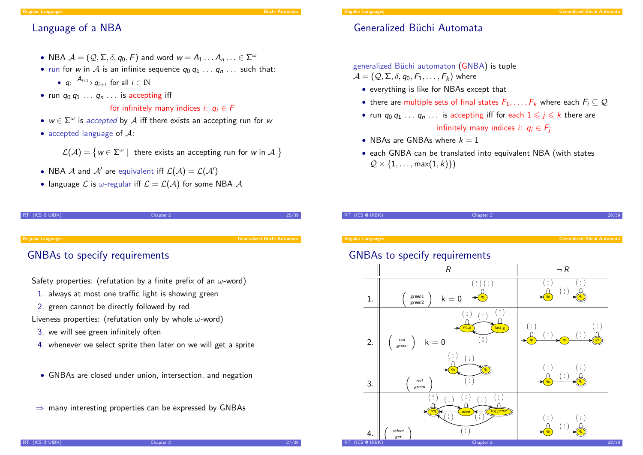#### Regular Languages B¨uchi Automata B¨uchi Automata Būdi Automata Būdi Automata Būdi Automata Būdi Automata Būdi

#### Language of a NBA

- NBA  $\mathcal{A} = (\mathcal{Q}, \Sigma, \delta, q_0, F)$  and word  $w = A_1 \dots A_n \dots \in \Sigma^{\omega}$
- run for w in A is an infinite sequence  $q_0 q_1 \ldots q_n \ldots$  such that:
	- $q_i \xrightarrow{A_{i+1}} q_{i+1}$  for all  $i \in \mathbb{N}$
- run  $q_0 q_1 \ldots q_n \ldots$  is accepting iff

#### for infinitely many indices *i*:  $q_i \in F$

- $w \in \Sigma^{\omega}$  is accepted by  $\mathcal A$  iff there exists an accepting run for w
- accepted language of  $\mathcal{A}$ :

 $\mathcal{L}(\mathcal{A}) = \big\{ w \in \Sigma^\omega \mid \text{ there exists an accepting run for } w \text{ in } \mathcal{A} \text{ }\big\}$ 

- NBA  ${\mathcal{A}}$  and  ${\mathcal{A}}'$  are equivalent iff  ${\mathcal{L}}({\mathcal{A}})={\mathcal{L}}({\mathcal{A}}')$
- language  $\mathcal L$  is  $\omega$ -regular iff  $\mathcal L = \mathcal L(\mathcal A)$  for some NBA  $\mathcal A$

| RT (ICS @ UIBK) | Chapter 2 |  |
|-----------------|-----------|--|
|                 |           |  |

Regular Languages Generalized B¨uchi Automata

#### [GN](#page-4-0)BAs to specify requirements

Safety properties: (refutation by a finite prefix of an  $\omega$ -word)

- 1. always at most one traffic light is showing green
- 2. green cannot be directly followed by red

Liveness properties: (refutation only by whole  $\omega$ -word)

- 3. we will see green infinitely often
- 4. whenever we select sprite then later on we will get a sprite
- GNBAs are closed under union, intersection, and negation
- $\Rightarrow$  many interesting properties can be expressed by GNBAs



### Generalized Büchi Automata

#### generalized Büchi automaton (GNBA) is tuple

 $\mathcal{A} = (\mathcal{Q}, \Sigma, \delta, q_0, F_1, \ldots, F_k)$  where

- everything is like for NBAs except that
- there are multiple sets of final states  $F_1, \ldots, F_k$  where each  $F_i \subseteq \mathcal{Q}$
- run  $q_0 q_1 \ldots q_n \ldots$  is accepting iff for each  $1 \leq j \leq k$  there are infinitely many indices i:  $q_i \in F_i$
- NBAs are GNBAs where  $k = 1$
- each GNBA can be translated into equivalent NBA (with states  $\mathcal{Q} \times \{1, \ldots, \max(1, k)\}\$

| (ICS @ UIBK)<br><b>RT</b> | Chapter 2                                                                                                                                                                                                                                                                                                                                                                | 26/39                                                                                                                               |
|---------------------------|--------------------------------------------------------------------------------------------------------------------------------------------------------------------------------------------------------------------------------------------------------------------------------------------------------------------------------------------------------------------------|-------------------------------------------------------------------------------------------------------------------------------------|
| <b>Regular Languages</b>  |                                                                                                                                                                                                                                                                                                                                                                          | <b>Generalized Büchi Automata</b>                                                                                                   |
|                           | <b>GNBAs to specify requirements</b>                                                                                                                                                                                                                                                                                                                                     |                                                                                                                                     |
|                           | R                                                                                                                                                                                                                                                                                                                                                                        | $\neg R$                                                                                                                            |
| 1.                        | $\left( \begin{array}{c} \circ \\ \circ \end{array} \right) \left( \begin{array}{c} \circ \\ \circ \end{array} \right)$<br>$green 1$<br>$k = 0$<br>green2                                                                                                                                                                                                                | $(\,:\,)$<br>$(\, \colon)$<br>$\begin{pmatrix} 1 \\ 1 \end{pmatrix}$                                                                |
| 2.                        | $\binom{0}{1}$<br>$(\begin{array}{c} \cdot \\ 0 \end{array})$<br>$\left( \begin{array}{c} \cdot \\ 1 \end{array} \right)$<br>$n = 5$<br>last_g<br>$(\begin{array}{c} \circ \\ \circ \end{array})$<br>red<br>$k = 0$<br>green                                                                                                                                             | (:)<br>$(\,\colon\!)$<br>$\left( \begin{array}{c} \cdot \\ 1 \end{array} \right)$<br>$\left(\begin{array}{c}1\\1\end{array}\right)$ |
| 3.                        | ÷<br>$\left( \begin{array}{c} \cdot \\ 1 \end{array} \right)$<br>$q_1$<br>$\left(\begin{smallmatrix} \star \\ \star \end{smallmatrix}\right)$<br>red<br>green                                                                                                                                                                                                            | $\left( \begin{array}{c} \cdot \\ \cdot \end{array} \right)$<br>$(\cdot)$<br>$(\, \dot{.} \, )$                                     |
| 4.                        | $\begin{pmatrix} 1 \\ 1 \end{pmatrix}$<br>$(\cdot)$<br>$\overset{\scriptscriptstyle{0}}{\scriptscriptstyle{*}}$<br>$\begin{pmatrix} 1 \\ 1 \end{pmatrix}$<br>$\left(\begin{array}{c}1\\1\end{array}\right)$<br>req_serve<br>req<br>need<br>$\begin{smallmatrix} 0\\1 \end{smallmatrix}$<br>$\overline{\overline{0}}$<br>$\begin{pmatrix} 0 \\ 1 \end{pmatrix}$<br>select | (:)<br>$(\cdot)$<br>$\left(\begin{array}{c}1\\1\end{array}\right)$                                                                  |
| RT (ICS @ UIBK)           | get<br>Chapter 2                                                                                                                                                                                                                                                                                                                                                         | 28/39                                                                                                                               |

<span id="page-6-0"></span>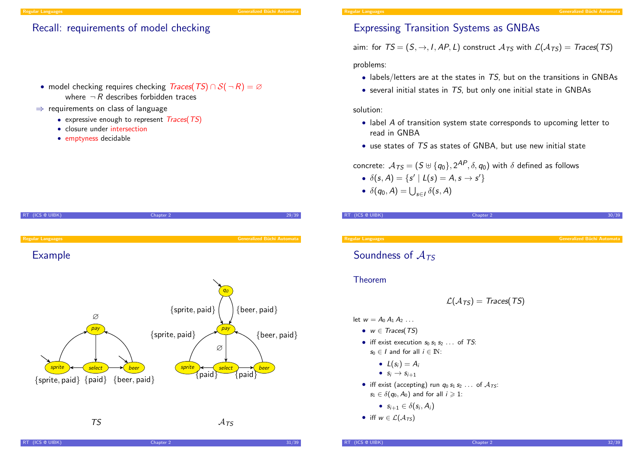#### Recall: requirements of model checking

• model checking requires checking  $Traces(TS) \cap S(\neg R) = \emptyset$ where  $\neg R$  describes forbidden traces

#### $\Rightarrow$  requirements on class of language

- expressive enough to represent Traces(TS)
- closure under intersection
- emptyness decidable

### Expressing Transition Systems as GNBAs

aim: for  $TS = (S, \rightarrow, I, AP, L)$  construct  $A_{TS}$  with  $\mathcal{L}(A_{TS}) = Traces(TS)$ 

problems:

- $\bullet$  labels/letters are at the states in TS, but on the transitions in GNBAs
- $\bullet$  several initial states in TS, but only one initial state in GNBAs

solution:

- label A of transition system state corresponds to upcoming letter to read in GNBA
- use states of TS as states of GNBA, but use new initial state

concrete:  $\,{\cal A}_{\textit{TS}} = (S \uplus \{q_0\}, 2^{\textit{AP}}, \delta, q_0)$  with  $\delta$  defined as follows

•  $\delta(s, A) = \{s' | L(s) = A, s \rightarrow s' \}$ 

**RT** (ICS @ UIBK) **Chapter 2** 30/39/39/39/39 Chapter 2

•  $\delta(q_0, A) = \bigcup_{s \in I} \delta(s, A)$ 



#### Regular Languag

## Soundness of  $A_{TS}$

#### Theorem

$$
\mathcal{L}(\mathcal{A}_{TS}) = \mathit{Traces}(\mathit{TS})
$$

- let  $w = A_0 A_1 A_2 ...$ 
	- $w \in Traces(TS)$
	- iff exist execution  $s_0 s_1 s_2 \ldots$  of TS:  $s_0 \in I$  and for all  $i \in \mathbb{N}$ :
		- $L(s_i) = A_i$
		- $S_i \rightarrow S_{i+1}$
	- iff exist (accepting) run  $q_0 s_1 s_2 \ldots$  of  $A_{TS}$ :  $s_1 \in \delta(q_0, A_0)$  and for all  $i \geqslant 1$ :
		- $s_{i+1} \in \delta(s_i, A_i)$

• iff 
$$
w \in \mathcal{L}(\mathcal{A}_{TS})
$$

 $R$ T (ICS @ UIBK)  $31/39$ 

er (ICS @ UIBK) and the control of the chapter 2 and 2 and 2 and 32/39 and 32/39 and 32/39 and 32/39 and 32/39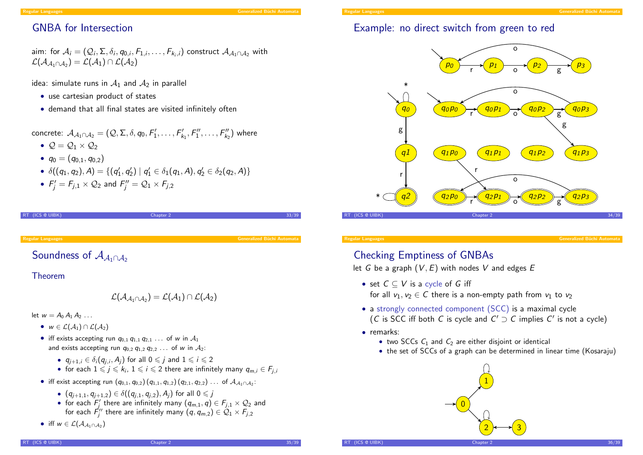#### Regular Languages Generalized B¨uchi Automata

## GNBA for Intersection

aim: for 
$$
A_i = (Q_i, \Sigma, \delta_i, q_{0,i}, F_{1,i}, \dots, F_{k_i,i})
$$
 construct  $A_{A_1 \cap A_2}$  with  $\mathcal{L}(A_{A_1 \cap A_2}) = \mathcal{L}(A_1) \cap \mathcal{L}(A_2)$ 

idea: simulate runs in  $A_1$  and  $A_2$  in parallel

- use cartesian product of states
- demand that all final states are visited infinitely often

concrete:  $\mathcal{A}_{\mathcal{A}_1 \cap \mathcal{A}_2} = (\mathcal{Q}, \Sigma, \delta, q_0, F'_1, \ldots, F'_{k_1}, F''_1, \ldots, F''_{k_2})$  where

- $Q = Q_1 \times Q_2$
- $q_0 = (q_{0,1}, q_{0,2})$
- $\bullet \ \ \delta((q_1,q_2), A) = \{ (q_1',q_2') \mid q_1' \in \delta_1(q_1,A), q_2' \in \delta_2(q_2,A) \}$
- $F'_j = F_{j,1} \times \mathcal{Q}_2$  and  $F''_j = \mathcal{Q}_1 \times F_{j,2}$

```
RT (ICS @ UIBK) 33/39
```
#### Regular Languages Generalized B¨uchi Automata

[So](#page-4-0)undness of  $A_{4,0,4}$ 

#### Theorem

$$
{\mathcal L}({\mathcal A}_{{\mathcal A}_1\cap{\mathcal A}_2})={\mathcal L}({\mathcal A}_1)\cap{\mathcal L}({\mathcal A}_2)
$$

let  $w = A_0 A_1 A_2 \ldots$ 

- $w \in \mathcal{L}(\mathcal{A}_1) \cap \mathcal{L}(\mathcal{A}_2)$
- iff exists accepting run  $q_{0,1} q_{1,1} q_{2,1} \ldots$  of w in  $A_1$ and exists accepting run  $q_0$ ,  $q_1$ ,  $q_2$ , ... of w in  $A_2$ :
	- $q_{j+1,i} \in \delta_i(q_{j,i},A_j)$  for all  $0 \leqslant j$  and  $1 \leqslant i \leqslant 2$
	- for each  $1 \leqslant j \leqslant k_i, \, 1 \leqslant i \leqslant 2$  there are infinitely many  $q_{m,i} \in F_{j,i}$
- iff exist accepting run  $(q_{0,1}, q_{0,2}) (q_{1,1}, q_{1,2}) (q_{2,1}, q_{2,2}) ...$  of  $\mathcal{A}_{\mathcal{A}_1 \cap \mathcal{A}_2}$ :
	- $(q_{i+1,1}, q_{i+1,2}) \in \delta((q_{i,1}, q_{i,2}), A_i)$  for all  $0 \leq j$
	- for each  $F'_j$  there are infinitely many  $(q_{m,1}, q) \in F_{j,1} \times \mathcal{Q}_2$  and for each  $\vec{\mathsf F}_j''$  there are infinitely many  $(q,q_{m,2})\in\mathcal Q_1\times F_{j,2}$
- iff  $w \in \mathcal{L}(\mathcal{A}_{\mathcal{A}_1 \cap \mathcal{A}_2})$



## Example: no direct switch from green to red



Regular Languages Generalized B¨uchi Automata

## Checking Emptiness of GNBAs

let G be a graph  $(V, E)$  with nodes V and edges E

- set  $C \subseteq V$  is a cycle of G iff for all  $v_1, v_2 \in C$  there is a non-empty path from  $v_1$  to  $v_2$
- a strongly connected component (SCC) is a maximal cycle (C is SCC iff both C is cycle and  $C' \supset C$  implies  $C'$  is not a cycle)
- remarks:
	- two SCCs  $C_1$  and  $C_2$  are either disjoint or identical
	- the set of SCCs of a graph can be determined in linear time (Kosaraju)